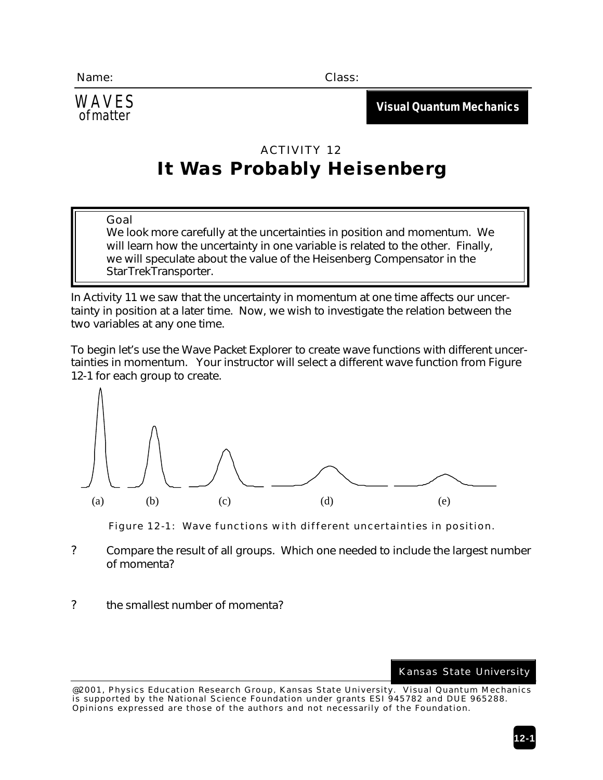WAVES

**Visual Quantum Mechanics** of matter

## ACTIVITY 12 **It Was Probably Heisenberg**

## *Goal*

We look more carefully at the uncertainties in position and momentum. We will learn how the uncertainty in one variable is related to the other. Finally, we will speculate about the value of the Heisenberg Compensator in the Star Trek Transporter.

In Activity 11 we saw that the uncertainty in momentum at one time affects our uncertainty in position at a later time. Now, we wish to investigate the relation between the two variables at any one time.

To begin let's use the *Wave Packet Explorer* to create wave functions with different uncertainties in momentum. Your instructor will select a different wave function from Figure 12-1 for each group to create.





- ? Compare the result of all groups. Which one needed to include the largest number of momenta?
- ? the smallest number of momenta?

Kansas State University

<sup>@2001,</sup> Physics Education Research Group, Kansas State University. Visual Quantum Mechanics is supported by the National Science Foundation under grants ESI 945782 and DUE 965288. Opinions expressed are those of the authors and not necessarily of the Foundation.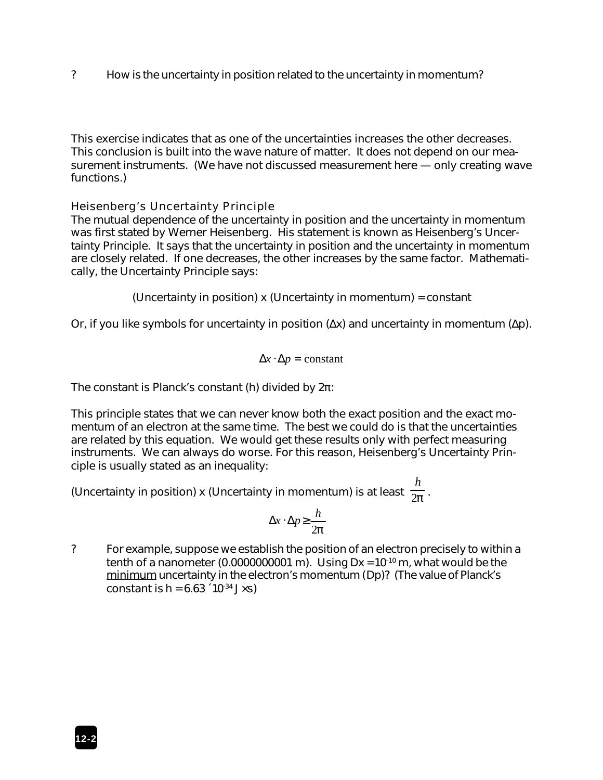? How is the uncertainty in position related to the uncertainty in momentum?

This exercise indicates that as one of the uncertainties increases the other decreases. This conclusion is built into the wave nature of matter. It does not depend on our measurement instruments. (We have not discussed measurement here — only creating wave functions.)

## *Heisenberg's Uncertainty Principle*

The mutual dependence of the uncertainty in position and the uncertainty in momentum was first stated by Werner Heisenberg. His statement is known as *Heisenberg's Uncertainty Principle*. It says that the uncertainty in position and the uncertainty in momentum are closely related. If one decreases, the other increases by the same factor. Mathematically, the Uncertainty Principle says:

(Uncertainty in position) x (Uncertainty in momentum) = constant

Or, if you like symbols for uncertainty in position (Δ*x*) and uncertainty in momentum (Δ*p*).

$$
\Delta x \cdot \Delta p = constant
$$

The constant is Planck's constant (*h*) divided by 2π:

This principle states that we can never know both the exact position and the exact momentum of an electron at the same time. The best we could do is that the uncertainties are related by this equation. We would get these results only with perfect measuring instruments. We can always do worse. For this reason, Heisenberg's Uncertainty Principle is usually stated as an inequality:

(Uncertainty in position) x (Uncertainty in momentum) is at least  $\frac{1}{2\boldsymbol{p}}$  . *h*

$$
\Delta x \cdot \Delta p \ge \frac{h}{2p}
$$

? For example, suppose we establish the position of an electron precisely to within a tenth of a nanometer (0.0000000001 m). Using  $Dx = 10^{-10}$  m, what would be the minimum uncertainty in the electron's momentum (D*p*)? (The value of Planck's constant is  $h = 6.63 \div 10^{-34}$  J×s)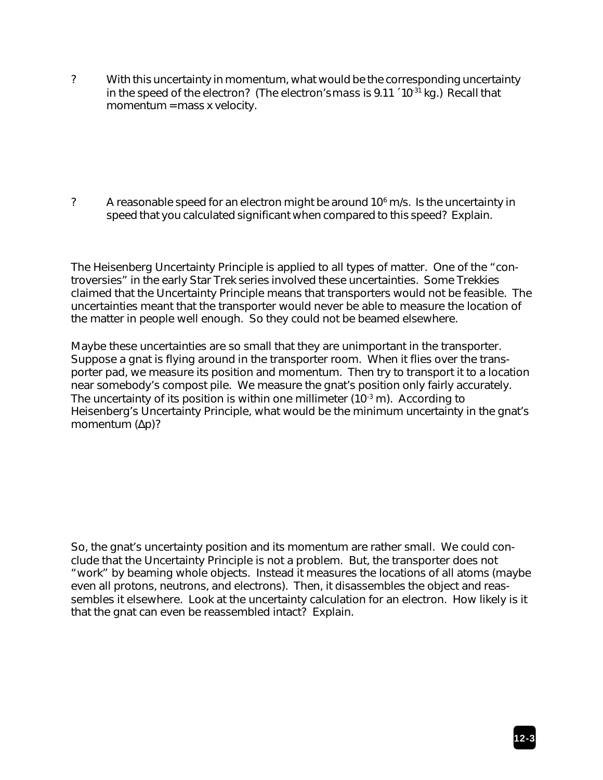? With this uncertainty in momentum, what would be the corresponding uncertainty in the *speed* of the electron? (The electron's *mass* is 9.11 ´ 10-31 kg.) Recall that momentum = mass x velocity.

? A reasonable speed for an electron might be around  $10<sup>6</sup>$  m/s. Is the uncertainty in speed that you calculated significant when compared to this speed? Explain.

The Heisenberg Uncertainty Principle is applied to all types of matter. One of the "controversies" in the early Star Trek series involved these uncertainties. Some Trekkies claimed that the Uncertainty Principle means that transporters would not be feasible. The uncertainties meant that the transporter would never be able to measure the location of the matter in people well enough. So they could not be beamed elsewhere.

Maybe these uncertainties are so small that they are unimportant in the transporter. Suppose a gnat is flying around in the transporter room. When it flies over the transporter pad, we measure its position and momentum. Then try to transport it to a location near somebody's compost pile. We measure the gnat's position only fairly accurately. The uncertainty of its position is within one millimeter  $(10<sup>-3</sup> m)$ . According to Heisenberg's Uncertainty Principle, what would be the *minimum* uncertainty in the gnat's momentum (Δ*p*)?

So, the gnat's uncertainty position and its momentum are rather small. We could conclude that the Uncertainty Principle is not a problem. But, the transporter does not "work" by beaming whole objects. Instead it measures the locations of all atoms (maybe even all protons, neutrons, and electrons). Then, it disassembles the object and reassembles it elsewhere. Look at the uncertainty calculation for an electron. How likely is it that the gnat can even be reassembled intact? Explain.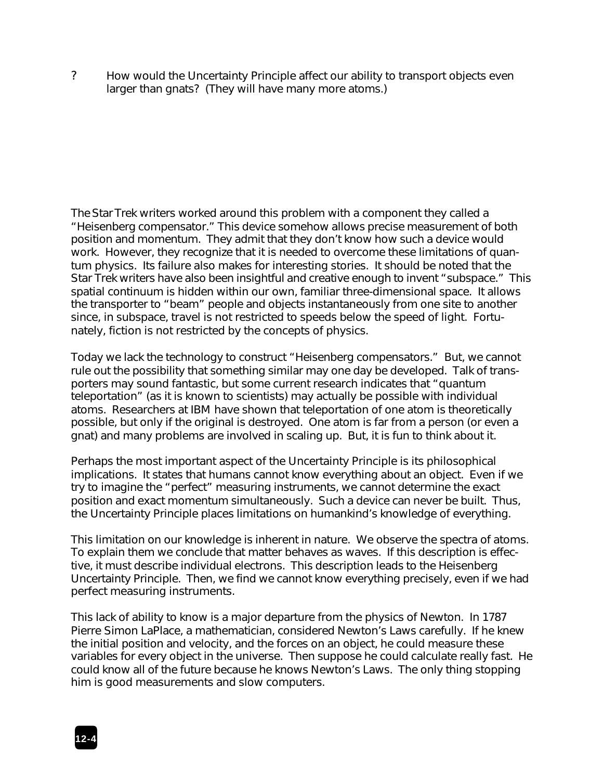? How would the Uncertainty Principle affect our ability to transport objects even larger than gnats? (They will have many more atoms.)

The Star Trek writers worked around this problem with a component they called a "Heisenberg compensator." This device somehow allows precise measurement of both position and momentum. They admit that they don't know how such a device would work. However, they recognize that it is needed to overcome these limitations of quantum physics. Its failure also makes for interesting stories. It should be noted that the Star Trek writers have also been insightful and creative enough to invent "subspace." This spatial continuum is hidden within our own, familiar three-dimensional space. It allows the transporter to "beam" people and objects instantaneously from one site to another since, in subspace, travel is not restricted to speeds below the speed of light. Fortunately, fiction is not restricted by the concepts of physics.

Today we lack the technology to construct "Heisenberg compensators." But, we cannot rule out the possibility that something similar may one day be developed. Talk of transporters may sound fantastic, but some current research indicates that "quantum teleportation" (as it is known to scientists) may actually be possible with individual atoms. Researchers at IBM have shown that teleportation of one atom is theoretically possible, but only if the original is destroyed. One atom is far from a person (or even a gnat) and many problems are involved in scaling up. But, it is fun to think about it.

Perhaps the most important aspect of the Uncertainty Principle is its philosophical implications. It states that humans cannot know everything about an object. Even if we try to imagine the "perfect" measuring instruments, we cannot determine the exact position and exact momentum simultaneously. Such a device can never be built. Thus, the Uncertainty Principle places limitations on humankind's knowledge of everything.

This limitation on our knowledge is inherent in nature. We observe the spectra of atoms. To explain them we conclude that matter behaves as waves. If this description is effective, it must describe individual electrons. This description leads to the Heisenberg Uncertainty Principle. Then, we find we cannot know everything precisely, even if we had perfect measuring instruments.

This lack of ability to know is a major departure from the physics of Newton. In 1787 Pierre Simon LaPlace, a mathematician, considered Newton's Laws carefully. If he knew the initial position and velocity, and the forces on an object, he could measure these variables for every object in the universe. Then suppose he could calculate really fast. He could know all of the future because he knows Newton's Laws. The only thing stopping him is good measurements and slow computers.